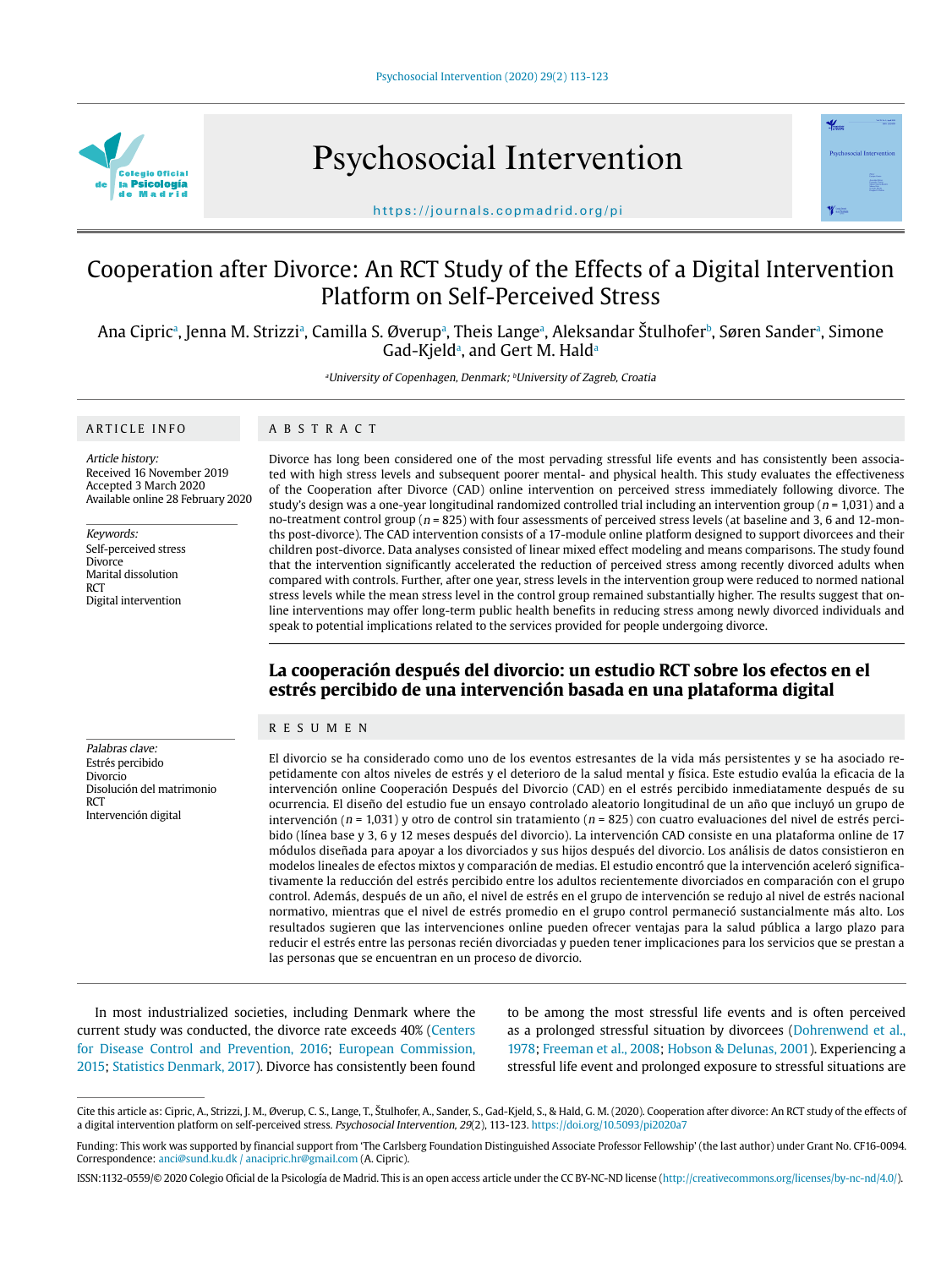

Psychosocial Intervention



https://journals.copmadrid.org/pi

# Cooperation after Divorce: An RCT Study of the Effects of a Digital Intervention Platform on Self-Perceived Stress

Ana Cipricª, Jenna M. Strizziª, Camilla S. Øverupª, Theis Langeª, Aleksandar Stulhofer<sup>b</sup>, Søren Sanderª, Simone Gad-Kjeld<sup>a</sup>, and Gert M. Hald<sup>a</sup>

<sup>a</sup>University of Copenhagen, Denmark; <sup>b</sup>University of Zagreb, Croatia

### ARTICLE INFO

#### ABSTRACT

Article history: Received 16 November 2019 Accepted 3 March 2020 Available online 28 February 2020

Keywords: Self-perceived stress Divorce Marital dissolution **RCT** Digital intervention

Divorce has long been considered one of the most pervading stressful life events and has consistently been associated with high stress levels and subsequent poorer mental- and physical health. This study evaluates the effectiveness of the Cooperation after Divorce (CAD) online intervention on perceived stress immediately following divorce. The study's design was a one-year longitudinal randomized controlled trial including an intervention group ( $n = 1,031$ ) and a no-treatment control group ( $n = 825$ ) with four assessments of perceived stress levels (at baseline and 3, 6 and 12-months post-divorce). The CAD intervention consists of a 17-module online platform designed to support divorcees and their children post-divorce. Data analyses consisted of linear mixed effect modeling and means comparisons. The study found that the intervention significantly accelerated the reduction of perceived stress among recently divorced adults when compared with controls. Further, after one year, stress levels in the intervention group were reduced to normed national stress levels while the mean stress level in the control group remained substantially higher. The results suggest that online interventions may offer long-term public health benefits in reducing stress among newly divorced individuals and speak to potential implications related to the services provided for people undergoing divorce.

# **La cooperación después del divorcio: un estudio RCT sobre los efectos en el estrés percibido de una intervención basada en una plataforma digital**

# RESUMEN

Palabras clave: Estrés percibido Divorcio Disolución del matrimonio **RCT** Intervención digital

El divorcio se ha considerado como uno de los eventos estresantes de la vida más persistentes y se ha asociado repetidamente con altos niveles de estrés y el deterioro de la salud mental y física. Este estudio evalúa la eficacia de la intervención online Cooperación Después del Divorcio (CAD) en el estrés percibido inmediatamente después de su ocurrencia. El diseño del estudio fue un ensayo controlado aleatorio longitudinal de un año que incluyó un grupo de intervención ( $n = 1,031$ ) y otro de control sin tratamiento ( $n = 825$ ) con cuatro evaluaciones del nivel de estrés percibido (línea base y 3, 6 y 12 meses después del divorcio). La intervención CAD consiste en una plataforma online de 17 módulos diseñada para apoyar a los divorciados y sus hijos después del divorcio. Los análisis de datos consistieron en modelos lineales de efectos mixtos y comparación de medias. El estudio encontró que la intervención aceleró significativamente la reducción del estrés percibido entre los adultos recientemente divorciados en comparación con el grupo control. Además, después de un año, el nivel de estrés en el grupo de intervención se redujo al nivel de estrés nacional normativo, mientras que el nivel de estrés promedio en el grupo control permaneció sustancialmente más alto. Los resultados sugieren que las intervenciones online pueden ofrecer ventajas para la salud pública a largo plazo para reducir el estrés entre las personas recién divorciadas y pueden tener implicaciones para los servicios que se prestan a las personas que se encuentran en un proceso de divorcio.

In most industrialized societies, including Denmark where the current study was conducted, the divorce rate exceeds 40% (Centers for Disease Control and Prevention, 2016; European Commission, 2015; Statistics Denmark, 2017). Divorce has consistently been found

to be among the most stressful life events and is often perceived as a prolonged stressful situation by divorcees (Dohrenwend et al., 1978; Freeman et al., 2008; Hobson & Delunas, 2001). Experiencing a stressful life event and prolonged exposure to stressful situations are

Cite this article as: Cipric, A., Strizzi, J. M., Øverup, C. S., Lange, T., Štulhofer, A., Sander, S., Gad-Kjeld, S., & Hald, G. M. (2020). Cooperation after divorce: An RCT study of the effects of a digital intervention platform on self-perceived stress. Psychosocial Intervention, 29(2), 113-123. https://doi.org/10.5093/pi2020a7

Funding: This work was supported by financial support from 'The Carlsberg Foundation Distinguished Associate Professor Fellowship' (the last author) under Grant No. CF16-0094. Correspondence: anci@sund.ku.dk / anacipric.hr@gmail.com (A. Cipric).

ISSN:1132-0559/© 2020 Colegio Oficial de la Psicología de Madrid. This is an open access article under the CC BY-NC-ND license (http://creativecommons.org/licenses/by-nc-nd/4.0/).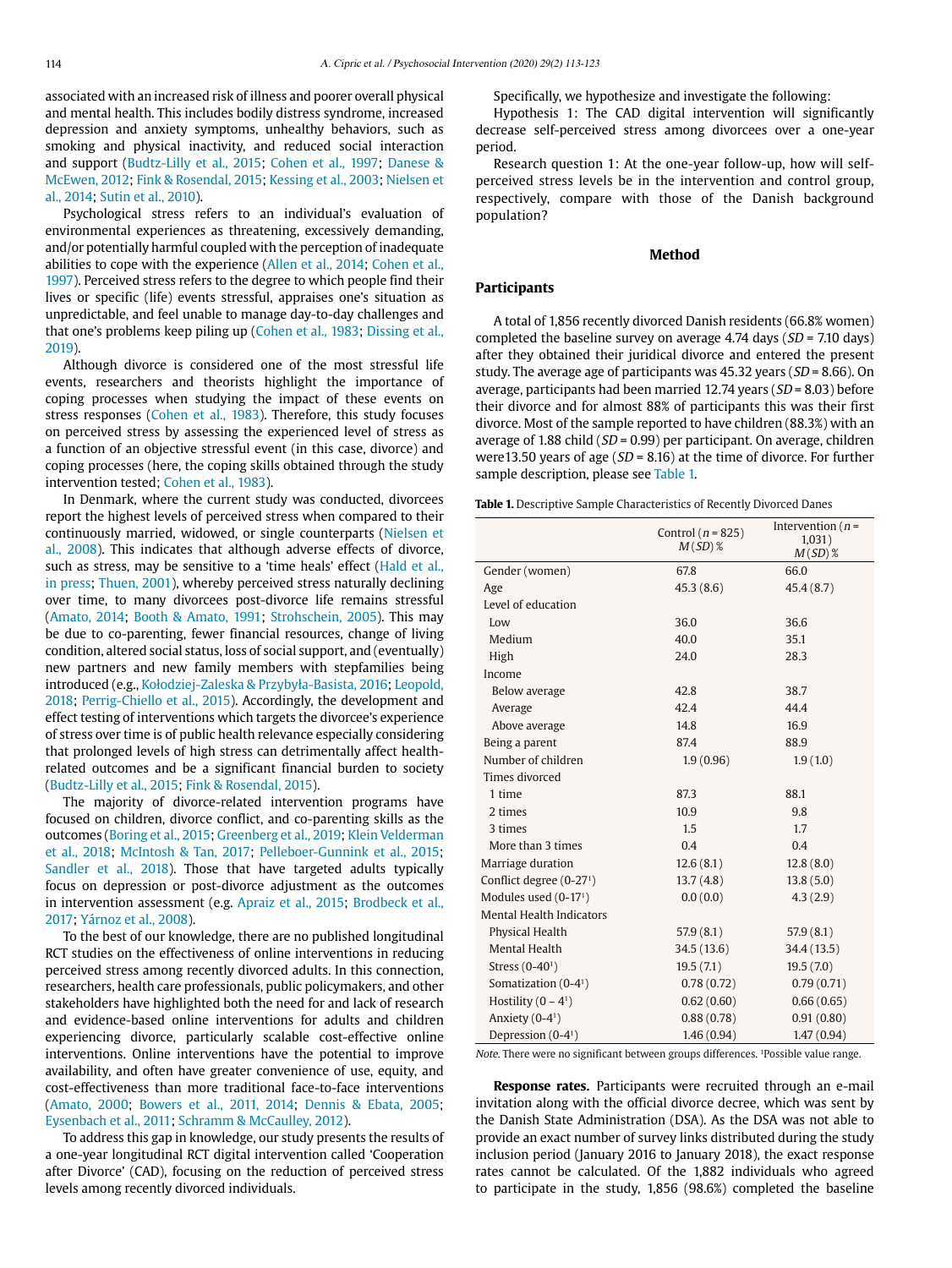associated with an increased risk of illness and poorer overall physical and mental health. This includes bodily distress syndrome, increased depression and anxiety symptoms, unhealthy behaviors, such as smoking and physical inactivity, and reduced social interaction and support (Budtz-Lilly et al., 2015; Cohen et al., 1997; Danese & McEwen, 2012; Fink & Rosendal, 2015; Kessing et al., 2003; Nielsen et al., 2014; Sutin et al., 2010).

Psychological stress refers to an individual's evaluation of environmental experiences as threatening, excessively demanding, and/or potentially harmful coupled with the perception of inadequate abilities to cope with the experience (Allen et al., 2014; Cohen et al., 1997). Perceived stress refers to the degree to which people find their lives or specific (life) events stressful, appraises one's situation as unpredictable, and feel unable to manage day-to-day challenges and that one's problems keep piling up (Cohen et al., 1983; Dissing et al., 2019).

Although divorce is considered one of the most stressful life events, researchers and theorists highlight the importance of coping processes when studying the impact of these events on stress responses (Cohen et al., 1983). Therefore, this study focuses on perceived stress by assessing the experienced level of stress as a function of an objective stressful event (in this case, divorce) and coping processes (here, the coping skills obtained through the study intervention tested; Cohen et al., 1983).

In Denmark, where the current study was conducted, divorcees report the highest levels of perceived stress when compared to their continuously married, widowed, or single counterparts (Nielsen et al., 2008). This indicates that although adverse effects of divorce, such as stress, may be sensitive to a 'time heals' effect (Hald et al., in press; Thuen, 2001), whereby perceived stress naturally declining over time, to many divorcees post-divorce life remains stressful (Amato, 2014; Booth & Amato, 1991; Strohschein, 2005). This may be due to co-parenting, fewer financial resources, change of living condition, altered social status, loss of social support, and (eventually) new partners and new family members with stepfamilies being introduced (e.g., Kołodziej-Zaleska & Przybyła-Basista, 2016; Leopold, 2018; Perrig-Chiello et al., 2015). Accordingly, the development and effect testing of interventions which targets the divorcee's experience of stress over time is of public health relevance especially considering that prolonged levels of high stress can detrimentally affect healthrelated outcomes and be a significant financial burden to society (Budtz-Lilly et al., 2015; Fink & Rosendal, 2015).

The majority of divorce-related intervention programs have focused on children, divorce conflict, and co-parenting skills as the outcomes (Boring et al., 2015; Greenberg et al., 2019; Klein Velderman et al., 2018; McIntosh & Tan, 2017; Pelleboer-Gunnink et al., 2015; Sandler et al., 2018). Those that have targeted adults typically focus on depression or post-divorce adjustment as the outcomes in intervention assessment (e.g. Apraiz et al., 2015; Brodbeck et al., 2017; Yárnoz et al., 2008).

To the best of our knowledge, there are no published longitudinal RCT studies on the effectiveness of online interventions in reducing perceived stress among recently divorced adults. In this connection, researchers, health care professionals, public policymakers, and other stakeholders have highlighted both the need for and lack of research and evidence-based online interventions for adults and children experiencing divorce, particularly scalable cost-effective online interventions. Online interventions have the potential to improve availability, and often have greater convenience of use, equity, and cost-effectiveness than more traditional face-to-face interventions (Amato, 2000; Bowers et al., 2011, 2014; Dennis & Ebata, 2005; Eysenbach et al., 2011; Schramm & McCaulley, 2012).

To address this gap in knowledge, our study presents the results of a one-year longitudinal RCT digital intervention called 'Cooperation after Divorce' (CAD), focusing on the reduction of perceived stress levels among recently divorced individuals.

Specifically, we hypothesize and investigate the following:

Hypothesis 1: The CAD digital intervention will significantly decrease self-perceived stress among divorcees over a one-year period.

Research question 1: At the one-year follow-up, how will selfperceived stress levels be in the intervention and control group, respectively, compare with those of the Danish background population?

# **Method**

# **Participants**

A total of 1,856 recently divorced Danish residents (66.8% women) completed the baseline survey on average 4.74 days  $(SD = 7.10 \text{ days})$ after they obtained their juridical divorce and entered the present study. The average age of participants was  $45.32$  years ( $SD = 8.66$ ). On average, participants had been married 12.74 years ( $SD = 8.03$ ) before their divorce and for almost 88% of participants this was their first divorce. Most of the sample reported to have children (88.3%) with an average of 1.88 child ( $SD = 0.99$ ) per participant. On average, children were13.50 years of age ( $SD = 8.16$ ) at the time of divorce. For further sample description, please see Table 1.

**Table 1.** Descriptive Sample Characteristics of Recently Divorced Danes

|                                      | Control ( $n = 825$ )<br>$M(SD)$ % | Intervention ( $n =$<br>1,031)<br>$M(SD)$ % |  |
|--------------------------------------|------------------------------------|---------------------------------------------|--|
| Gender (women)                       | 67.8                               | 66.0                                        |  |
| Age                                  | 45.3(8.6)                          | 45.4(8.7)                                   |  |
| Level of education                   |                                    |                                             |  |
| Low                                  | 36.0                               | 36.6                                        |  |
| Medium                               | 40.0                               | 35.1                                        |  |
| High                                 | 24.0                               | 28.3                                        |  |
| Income                               |                                    |                                             |  |
| Below average                        | 42.8                               | 38.7                                        |  |
| Average                              | 42.4                               | 44.4                                        |  |
| Above average                        | 14.8                               | 16.9                                        |  |
| Being a parent                       | 87.4                               | 88.9                                        |  |
| Number of children                   | 1.9(0.96)                          | 1.9(1.0)                                    |  |
| Times divorced                       |                                    |                                             |  |
| 1 time                               | 87.3                               | 88.1                                        |  |
| 2 times                              | 10.9                               | 9.8                                         |  |
| 3 times                              | 1.5                                | 1.7                                         |  |
| More than 3 times                    | 0.4                                | 0.4                                         |  |
| Marriage duration                    | 12.6(8.1)                          | 12.8(8.0)                                   |  |
| Conflict degree (0-27 <sup>1</sup> ) | 13.7(4.8)                          | 13.8(5.0)                                   |  |
| Modules used $(0-17)$                | 0.0(0.0)                           | 4.3(2.9)                                    |  |
| <b>Mental Health Indicators</b>      |                                    |                                             |  |
| Physical Health                      | 57.9(8.1)                          | 57.9(8.1)                                   |  |
| Mental Health                        | 34.5(13.6)                         | 34.4 (13.5)                                 |  |
| Stress $(0-40)$                      | 19.5(7.1)                          | 19.5(7.0)                                   |  |
| Somatization (0-4 <sup>1</sup> )     | 0.78(0.72)                         | 0.79(0.71)                                  |  |
| Hostility $(0 - 41)$                 | 0.62(0.60)                         | 0.66(0.65)                                  |  |
| Anxiety (0-41)                       | 0.88(0.78)                         | 0.91(0.80)                                  |  |
| Depression $(0-4)$                   | 1.46(0.94)                         | 1.47(0.94)                                  |  |

Note. There were no significant between groups differences. 1Possible value range.

**Response rates.** Participants were recruited through an e-mail invitation along with the official divorce decree, which was sent by the Danish State Administration (DSA). As the DSA was not able to provide an exact number of survey links distributed during the study inclusion period (January 2016 to January 2018), the exact response rates cannot be calculated. Of the 1,882 individuals who agreed to participate in the study, 1,856 (98.6%) completed the baseline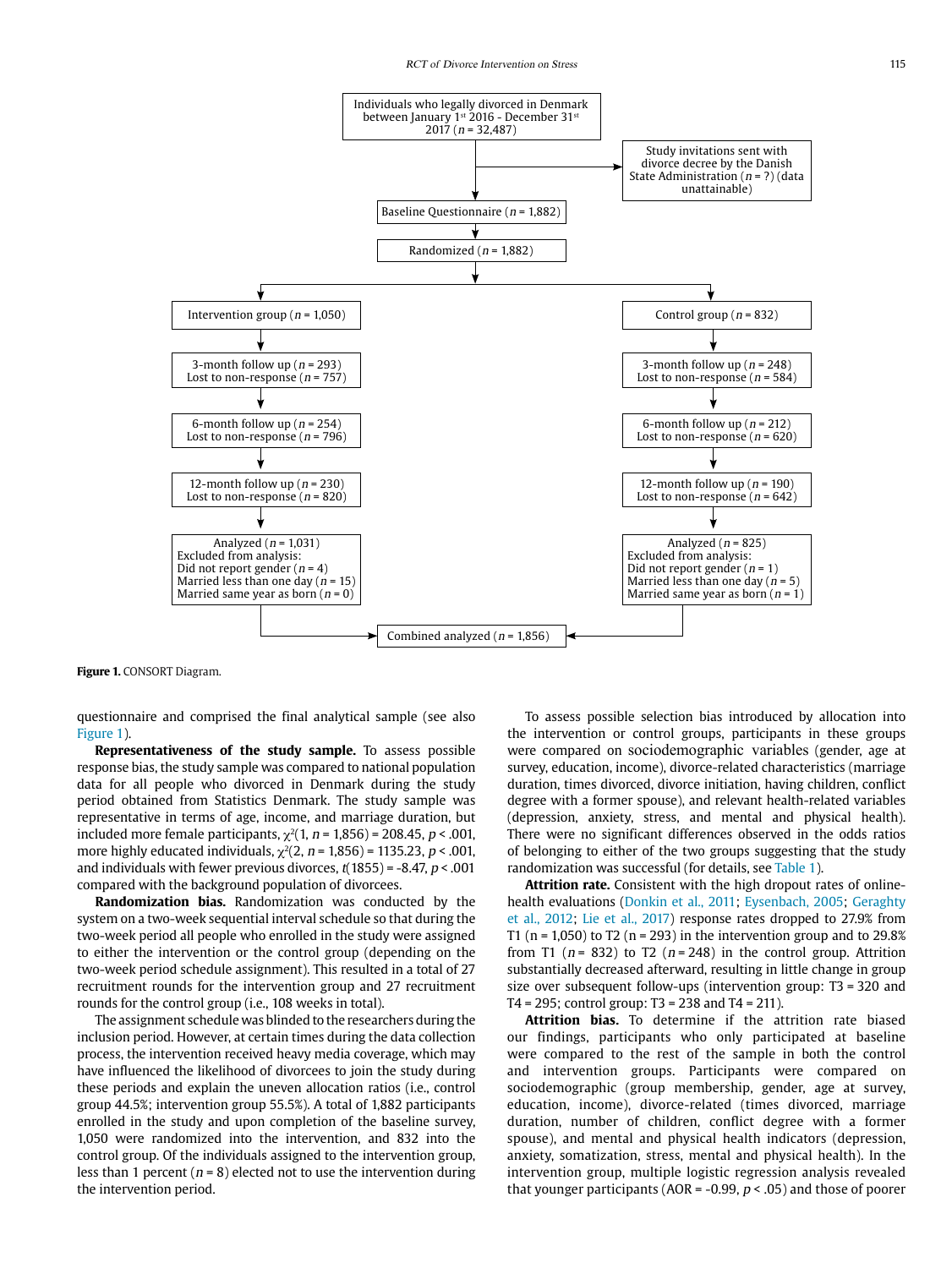

**Figure 1.** CONSORT Diagram.

questionnaire and comprised the final analytical sample (see also Figure 1).

**Representativeness of the study sample.** To assess possible response bias, the study sample was compared to national population data for all people who divorced in Denmark during the study period obtained from Statistics Denmark. The study sample was representative in terms of age, income, and marriage duration, but included more female participants,  $\chi^2(1, n = 1,856) = 208.45$ , *p* < .001, more highly educated individuals,  $\chi^2(2, n = 1,856) = 1135.23, p < .001,$ and individuals with fewer previous divorces,  $t(1855) = -8.47$ ,  $p < .001$ compared with the background population of divorcees.

**Randomization bias.** Randomization was conducted by the system on a two-week sequential interval schedule so that during the two-week period all people who enrolled in the study were assigned to either the intervention or the control group (depending on the two-week period schedule assignment). This resulted in a total of 27 recruitment rounds for the intervention group and 27 recruitment rounds for the control group (i.e., 108 weeks in total).

The assignment schedule was blinded to the researchers during the inclusion period. However, at certain times during the data collection process, the intervention received heavy media coverage, which may have influenced the likelihood of divorcees to join the study during these periods and explain the uneven allocation ratios (i.e., control group 44.5%; intervention group 55.5%). A total of 1,882 participants enrolled in the study and upon completion of the baseline survey, 1,050 were randomized into the intervention, and 832 into the control group. Of the individuals assigned to the intervention group, less than 1 percent ( $n = 8$ ) elected not to use the intervention during the intervention period.

To assess possible selection bias introduced by allocation into the intervention or control groups, participants in these groups were compared on sociodemographic variables (gender, age at survey, education, income), divorce-related characteristics (marriage duration, times divorced, divorce initiation, having children, conflict degree with a former spouse), and relevant health-related variables (depression, anxiety, stress, and mental and physical health). There were no significant differences observed in the odds ratios of belonging to either of the two groups suggesting that the study randomization was successful (for details, see Table 1).

**Attrition rate.** Consistent with the high dropout rates of onlinehealth evaluations (Donkin et al., 2011; Eysenbach, 2005; Geraghty et al., 2012; Lie et al., 2017) response rates dropped to 27.9% from T1 ( $n = 1,050$ ) to T2 ( $n = 293$ ) in the intervention group and to 29.8% from T1 ( $n = 832$ ) to T2 ( $n = 248$ ) in the control group. Attrition substantially decreased afterward, resulting in little change in group size over subsequent follow-ups (intervention group: T3 = 320 and T4 = 295; control group: T3 = 238 and T4 = 211).

**Attrition bias.** To determine if the attrition rate biased our findings, participants who only participated at baseline were compared to the rest of the sample in both the control and intervention groups. Participants were compared on sociodemographic (group membership, gender, age at survey, education, income), divorce-related (times divorced, marriage duration, number of children, conflict degree with a former spouse), and mental and physical health indicators (depression, anxiety, somatization, stress, mental and physical health). In the intervention group, multiple logistic regression analysis revealed that younger participants (AOR =  $-0.99$ ,  $p < .05$ ) and those of poorer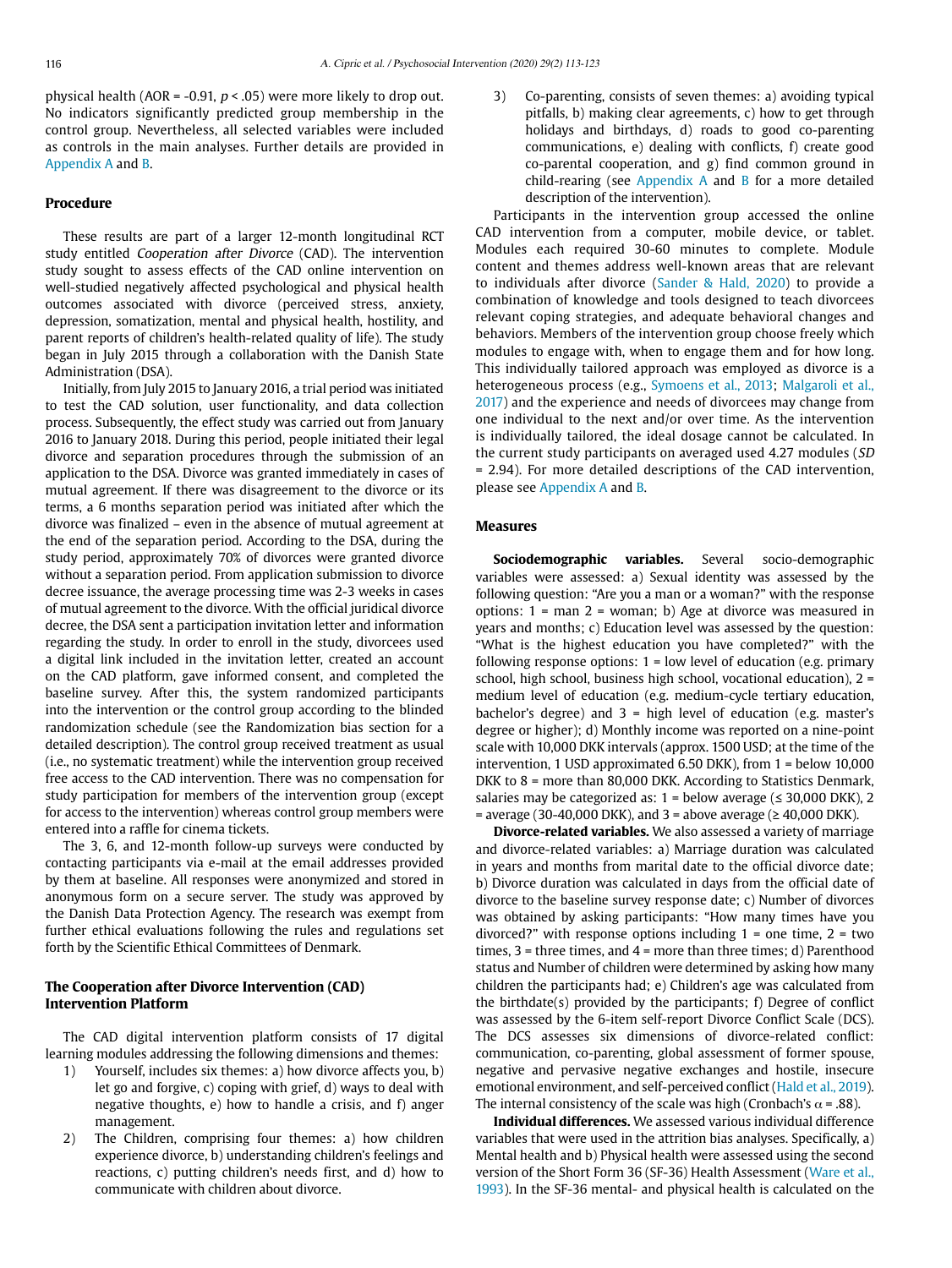physical health (AOR = -0.91,  $p < .05$ ) were more likely to drop out. No indicators significantly predicted group membership in the control group. Nevertheless, all selected variables were included as controls in the main analyses. Further details are provided in Appendix A and B.

## **Procedure**

These results are part of a larger 12-month longitudinal RCT study entitled Cooperation after Divorce (CAD). The intervention study sought to assess effects of the CAD online intervention on well-studied negatively affected psychological and physical health outcomes associated with divorce (perceived stress, anxiety, depression, somatization, mental and physical health, hostility, and parent reports of children's health-related quality of life). The study began in July 2015 through a collaboration with the Danish State Administration (DSA).

Initially, from July 2015 to January 2016, a trial period was initiated to test the CAD solution, user functionality, and data collection process. Subsequently, the effect study was carried out from January 2016 to January 2018. During this period, people initiated their legal divorce and separation procedures through the submission of an application to the DSA. Divorce was granted immediately in cases of mutual agreement. If there was disagreement to the divorce or its terms, a 6 months separation period was initiated after which the divorce was finalized – even in the absence of mutual agreement at the end of the separation period. According to the DSA, during the study period, approximately 70% of divorces were granted divorce without a separation period. From application submission to divorce decree issuance, the average processing time was 2-3 weeks in cases of mutual agreement to the divorce. With the official juridical divorce decree, the DSA sent a participation invitation letter and information regarding the study. In order to enroll in the study, divorcees used a digital link included in the invitation letter, created an account on the CAD platform, gave informed consent, and completed the baseline survey. After this, the system randomized participants into the intervention or the control group according to the blinded randomization schedule (see the Randomization bias section for a detailed description). The control group received treatment as usual (i.e., no systematic treatment) while the intervention group received free access to the CAD intervention. There was no compensation for study participation for members of the intervention group (except for access to the intervention) whereas control group members were entered into a raffle for cinema tickets.

The 3, 6, and 12-month follow-up surveys were conducted by contacting participants via e-mail at the email addresses provided by them at baseline. All responses were anonymized and stored in anonymous form on a secure server. The study was approved by the Danish Data Protection Agency. The research was exempt from further ethical evaluations following the rules and regulations set forth by the Scientific Ethical Committees of Denmark.

# **The Cooperation after Divorce Intervention (CAD) Intervention Platform**

The CAD digital intervention platform consists of 17 digital learning modules addressing the following dimensions and themes:

- 1) Yourself, includes six themes: a) how divorce affects you, b) let go and forgive, c) coping with grief, d) ways to deal with negative thoughts, e) how to handle a crisis, and f) anger management.
- 2) The Children, comprising four themes: a) how children experience divorce, b) understanding children's feelings and reactions, c) putting children's needs first, and d) how to communicate with children about divorce.

3) Co-parenting, consists of seven themes: a) avoiding typical pitfalls, b) making clear agreements, c) how to get through holidays and birthdays, d) roads to good co-parenting communications, e) dealing with conflicts, f) create good co-parental cooperation, and g) find common ground in child-rearing (see  $Appendix$  A and  $B$  for a more detailed description of the intervention).

Participants in the intervention group accessed the online CAD intervention from a computer, mobile device, or tablet. Modules each required 30-60 minutes to complete. Module content and themes address well-known areas that are relevant to individuals after divorce (Sander & Hald, 2020) to provide a combination of knowledge and tools designed to teach divorcees relevant coping strategies, and adequate behavioral changes and behaviors. Members of the intervention group choose freely which modules to engage with, when to engage them and for how long. This individually tailored approach was employed as divorce is a heterogeneous process (e.g., Symoens et al., 2013; Malgaroli et al., 2017) and the experience and needs of divorcees may change from one individual to the next and/or over time. As the intervention is individually tailored, the ideal dosage cannot be calculated. In the current study participants on averaged used 4.27 modules (SD = 2.94). For more detailed descriptions of the CAD intervention, please see Appendix A and B.

## **Measures**

**Sociodemographic variables.** Several socio-demographic variables were assessed: a) Sexual identity was assessed by the following question: "Are you a man or a woman?" with the response options: 1 = man 2 = woman; b) Age at divorce was measured in years and months; c) Education level was assessed by the question: "What is the highest education you have completed?" with the following response options:  $1 =$  low level of education (e.g. primary school, high school, business high school, vocational education), 2 = medium level of education (e.g. medium-cycle tertiary education, bachelor's degree) and  $3$  = high level of education (e.g. master's degree or higher); d) Monthly income was reported on a nine-point scale with 10,000 DKK intervals (approx. 1500 USD; at the time of the intervention, 1 USD approximated 6.50 DKK), from 1 = below 10,000 DKK to 8 = more than 80,000 DKK. According to Statistics Denmark, salaries may be categorized as:  $1$  = below average ( $\leq$  30,000 DKK), 2 = average (30-40,000 DKK), and 3 = above average ( $\geq 40,000$  DKK).

**Divorce-related variables.** We also assessed a variety of marriage and divorce-related variables: a) Marriage duration was calculated in years and months from marital date to the official divorce date; b) Divorce duration was calculated in days from the official date of divorce to the baseline survey response date; c) Number of divorces was obtained by asking participants: "How many times have you divorced?" with response options including  $1 =$  one time,  $2 =$  two times, 3 = three times, and 4 = more than three times; d) Parenthood status and Number of children were determined by asking how many children the participants had; e) Children's age was calculated from the birthdate(s) provided by the participants; f) Degree of conflict was assessed by the 6-item self-report Divorce Conflict Scale (DCS). The DCS assesses six dimensions of divorce-related conflict: communication, co-parenting, global assessment of former spouse, negative and pervasive negative exchanges and hostile, insecure emotional environment, and self-perceived conflict (Hald et al., 2019). The internal consistency of the scale was high (Cronbach's  $\alpha$  = .88).

**Individual differences.** We assessed various individual difference variables that were used in the attrition bias analyses. Specifically, a) Mental health and b) Physical health were assessed using the second version of the Short Form 36 (SF-36) Health Assessment (Ware et al., 1993). In the SF-36 mental- and physical health is calculated on the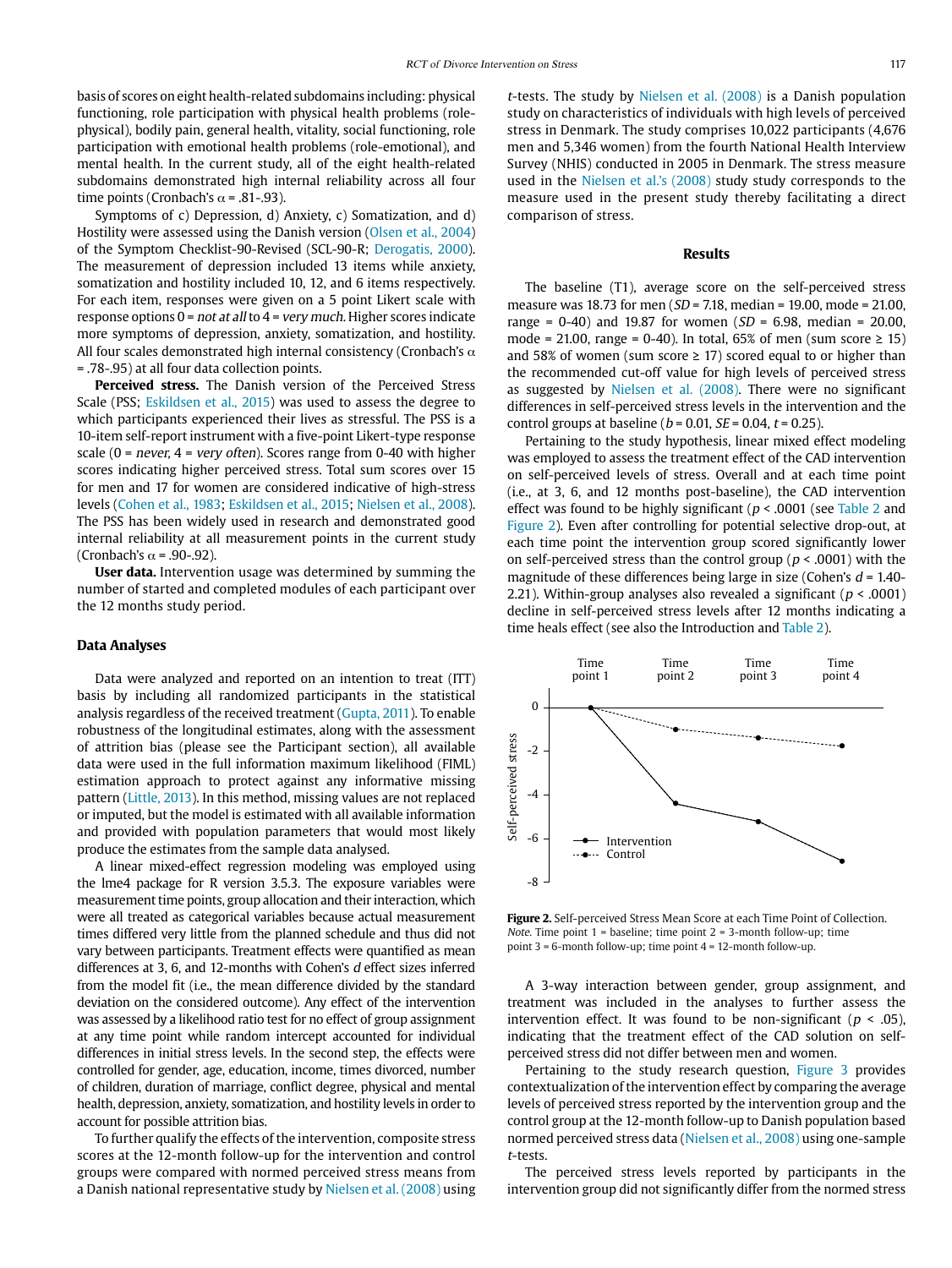basis of scores on eight health-related subdomains including: physical functioning, role participation with physical health problems (rolephysical), bodily pain, general health, vitality, social functioning, role participation with emotional health problems (role-emotional), and mental health. In the current study, all of the eight health-related subdomains demonstrated high internal reliability across all four time points (Cronbach's  $\alpha$  = .81-.93).

Symptoms of c) Depression, d) Anxiety, c) Somatization, and d) Hostility were assessed using the Danish version (Olsen et al., 2004) of the Symptom Checklist-90-Revised (SCL-90-R; Derogatis, 2000). The measurement of depression included 13 items while anxiety, somatization and hostility included 10, 12, and 6 items respectively. For each item, responses were given on a 5 point Likert scale with response options  $0 = not$  at all to  $4 = very$  much. Higher scores indicate more symptoms of depression, anxiety, somatization, and hostility. All four scales demonstrated high internal consistency (Cronbach's  $\alpha$ ) = .78-.95) at all four data collection points.

**Perceived stress.** The Danish version of the Perceived Stress Scale (PSS; Eskildsen et al., 2015) was used to assess the degree to which participants experienced their lives as stressful. The PSS is a 10-item self-report instrument with a five-point Likert-type response scale (0 = never, 4 = very often). Scores range from 0-40 with higher scores indicating higher perceived stress. Total sum scores over 15 for men and 17 for women are considered indicative of high-stress levels (Cohen et al., 1983; Eskildsen et al., 2015; Nielsen et al., 2008). The PSS has been widely used in research and demonstrated good internal reliability at all measurement points in the current study (Cronbach's  $\alpha$  = .90-.92).

**User data.** Intervention usage was determined by summing the number of started and completed modules of each participant over the 12 months study period.

#### **Data Analyses**

Data were analyzed and reported on an intention to treat (ITT) basis by including all randomized participants in the statistical analysis regardless of the received treatment (Gupta, 2011). To enable robustness of the longitudinal estimates, along with the assessment of attrition bias (please see the Participant section), all available data were used in the full information maximum likelihood (FIML) estimation approach to protect against any informative missing pattern (Little, 2013). In this method, missing values are not replaced or imputed, but the model is estimated with all available information and provided with population parameters that would most likely produce the estimates from the sample data analysed.

A linear mixed-effect regression modeling was employed using the lme4 package for R version 3.5.3. The exposure variables were measurement time points, group allocation and their interaction, which were all treated as categorical variables because actual measurement times differed very little from the planned schedule and thus did not vary between participants. Treatment effects were quantified as mean differences at 3, 6, and 12-months with Cohen's d effect sizes inferred from the model fit (i.e., the mean difference divided by the standard deviation on the considered outcome). Any effect of the intervention was assessed by a likelihood ratio test for no effect of group assignment at any time point while random intercept accounted for individual differences in initial stress levels. In the second step, the effects were controlled for gender, age, education, income, times divorced, number of children, duration of marriage, conflict degree, physical and mental health, depression, anxiety, somatization, and hostility levels in order to account for possible attrition bias.

To further qualify the effects of the intervention, composite stress scores at the 12-month follow-up for the intervention and control groups were compared with normed perceived stress means from a Danish national representative study by Nielsen et al. (2008) using <sup>t</sup>-tests. The study by Nielsen et al. (2008) is a Danish population study on characteristics of individuals with high levels of perceived stress in Denmark. The study comprises 10,022 participants (4,676 men and 5,346 women) from the fourth National Health Interview Survey (NHIS) conducted in 2005 in Denmark. The stress measure used in the Nielsen et al.'s (2008) study study corresponds to the measure used in the present study thereby facilitating a direct comparison of stress.

## **Results**

The baseline (T1), average score on the self-perceived stress measure was 18.73 for men ( $SD = 7.18$ , median = 19.00, mode = 21.00, range = 0-40) and 19.87 for women ( $SD = 6.98$ , median = 20.00, mode = 21.00, range = 0-40). In total, 65% of men (sum score ≥ 15) and 58% of women (sum score  $\geq$  17) scored equal to or higher than the recommended cut-off value for high levels of perceived stress as suggested by Nielsen et al. (2008). There were no significant differences in self-perceived stress levels in the intervention and the control groups at baseline ( $b = 0.01$ ,  $SE = 0.04$ ,  $t = 0.25$ ).

Pertaining to the study hypothesis, linear mixed effect modeling was employed to assess the treatment effect of the CAD intervention on self-perceived levels of stress. Overall and at each time point (i.e., at 3, 6, and 12 months post-baseline), the CAD intervention effect was found to be highly significant ( $p < .0001$  (see Table 2 and Figure 2). Even after controlling for potential selective drop-out, at each time point the intervention group scored significantly lower on self-perceived stress than the control group ( $p < .0001$ ) with the magnitude of these differences being large in size (Cohen's  $d = 1.40$ -2.21). Within-group analyses also revealed a significant ( $p < .0001$ ) decline in self-perceived stress levels after 12 months indicating a time heals effect (see also the Introduction and Table 2).



**Figure 2.** Self-perceived Stress Mean Score at each Time Point of Collection. Note. Time point  $1$  = baseline; time point  $2$  = 3-month follow-up; time point 3 = 6-month follow-up; time point 4 = 12-month follow-up.

A 3-way interaction between gender, group assignment, and treatment was included in the analyses to further assess the intervention effect. It was found to be non-significant ( $p < .05$ ), indicating that the treatment effect of the CAD solution on selfperceived stress did not differ between men and women.

Pertaining to the study research question, Figure 3 provides contextualization of the intervention effect by comparing the average levels of perceived stress reported by the intervention group and the control group at the 12-month follow-up to Danish population based normed perceived stress data (Nielsen et al., 2008) using one-sample <sup>t</sup>-tests.

The perceived stress levels reported by participants in the intervention group did not significantly differ from the normed stress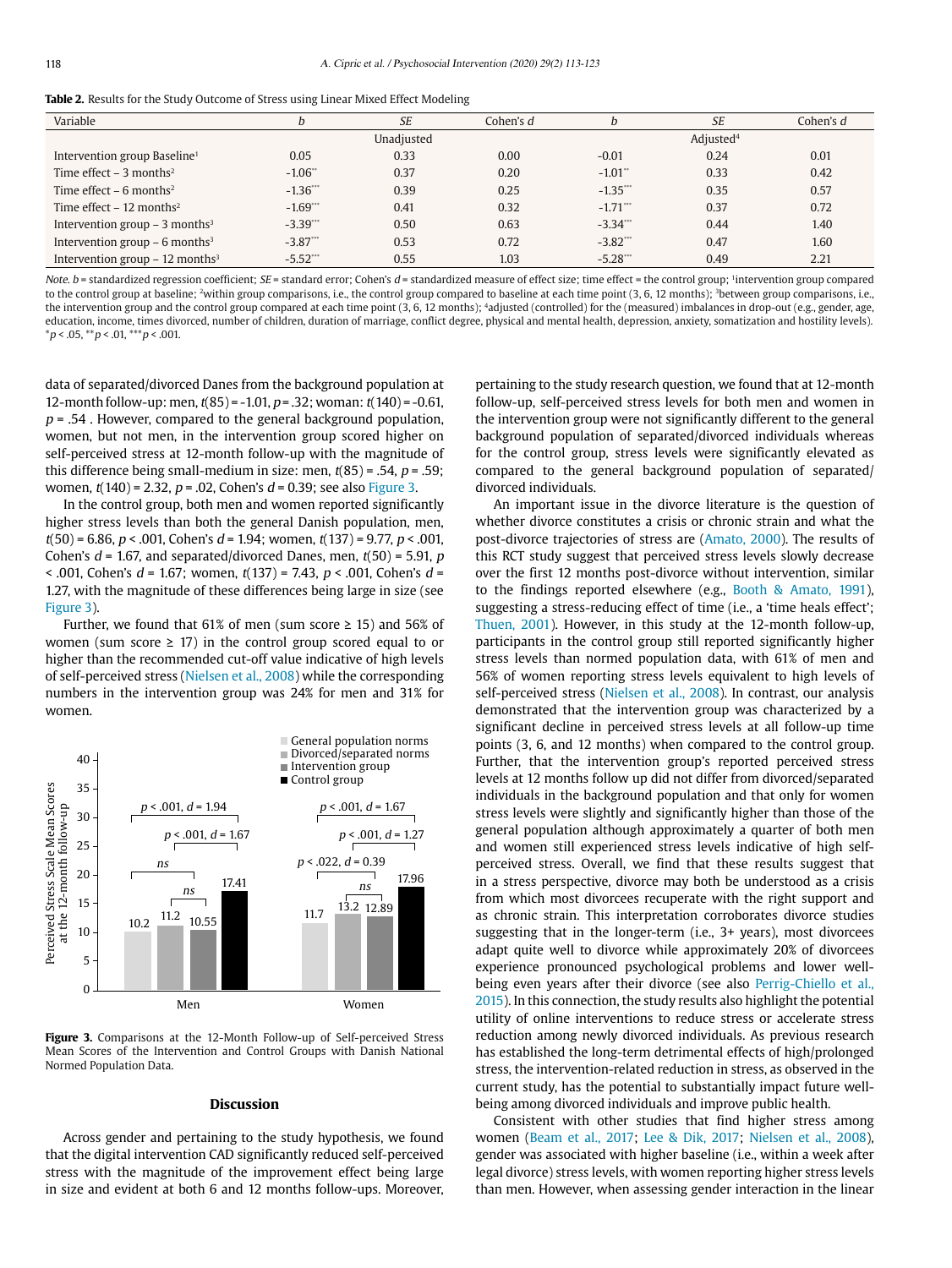|  | <b>Table 2.</b> Results for the Study Outcome of Stress using Linear Mixed Effect Modeling |
|--|--------------------------------------------------------------------------------------------|
|--|--------------------------------------------------------------------------------------------|

| Variable                                     |                       | <b>SE</b> | Cohen's d             |                        | <b>SE</b> | Cohen's $d$ |
|----------------------------------------------|-----------------------|-----------|-----------------------|------------------------|-----------|-------------|
|                                              | Unadjusted            |           | Adjusted <sup>4</sup> |                        |           |             |
| Intervention group Baseline <sup>1</sup>     | 0.05                  | 0.33      | 0.00                  | $-0.01$                | 0.24      | 0.01        |
| Time effect $-3$ months <sup>2</sup>         | $-1.06$ <sup>**</sup> | 0.37      | 0.20                  | $-1.01$ "              | 0.33      | 0.42        |
| Time effect $-6$ months <sup>2</sup>         | $-1.36$               | 0.39      | 0.25                  | $-1.35$                | 0.35      | 0.57        |
| Time effect $-12$ months <sup>2</sup>        | $-1.69$ ***           | 0.41      | 0.32                  | $-1.71$                | 0.37      | 0.72        |
| Intervention group $-$ 3 months <sup>3</sup> | $-3.39$ ***           | 0.50      | 0.63                  | $-3.34$ ***            | 0.44      | 1.40        |
| Intervention group $-6$ months <sup>3</sup>  | $-3.87$               | 0.53      | 0.72                  | $-3.82$ <sup>***</sup> | 0.47      | 1.60        |
| Intervention group $-12$ months <sup>3</sup> | $-5.52$               | 0.55      | 1.03                  | $-5.28$                | 0.49      | 2.21        |

Note,  $b$  = standardized regression coefficient:  $SE$  = standard error; Cohen's  $d$  = standardized measure of effect size; time effect = the control group; 'intervention group compared to the control group at baseline; <sup>2</sup>within group comparisons, i.e., the control group compared to baseline at each time point (3, 6, 12 months); <sup>3</sup>between group comparisons, i.e., the intervention group and the control group compared at each time point (3, 6, 12 months); 4adjusted (controlled) for the (measured) imbalances in drop-out (e.g., gender, age, education, income, times divorced, number of children, duration of marriage, conflict degree, physical and mental health, depression, anxiety, somatization and hostility levels).  $*p < .05, **p < .01, **p < .001.$ 

data of separated/divorced Danes from the background population at 12-month follow-up: men,  $t(85) = -1.01$ ,  $p = 0.32$ ; woman:  $t(140) = -0.61$ ,  $p = .54$ . However, compared to the general background population, women, but not men, in the intervention group scored higher on self-perceived stress at 12-month follow-up with the magnitude of this difference being small-medium in size: men,  $t(85) = .54$ ,  $p = .59$ ; women,  $t(140) = 2.32$ ,  $p = .02$ , Cohen's  $d = 0.39$ ; see also Figure 3.

In the control group, both men and women reported significantly higher stress levels than both the general Danish population, men,  $t(50) = 6.86$ ,  $p < .001$ , Cohen's  $d = 1.94$ ; women,  $t(137) = 9.77$ ,  $p < .001$ , Cohen's  $d = 1.67$ , and separated/divorced Danes, men,  $t(50) = 5.91$ , p  $\le$  .001, Cohen's  $d = 1.67$ ; women,  $t(137) = 7.43$ ,  $p \le$  .001, Cohen's  $d =$ 1.27, with the magnitude of these differences being large in size (see Figure 3).

Further, we found that 61% of men (sum score  $\geq$  15) and 56% of women (sum score  $\geq$  17) in the control group scored equal to or higher than the recommended cut-off value indicative of high levels of self-perceived stress (Nielsen et al., 2008) while the corresponding numbers in the intervention group was 24% for men and 31% for women.



**Figure 3.** Comparisons at the 12-Month Follow-up of Self-perceived Stress Mean Scores of the Intervention and Control Groups with Danish National Normed Population Data.

### **Discussion**

Across gender and pertaining to the study hypothesis, we found that the digital intervention CAD significantly reduced self-perceived stress with the magnitude of the improvement effect being large in size and evident at both 6 and 12 months follow-ups. Moreover,

pertaining to the study research question, we found that at 12-month follow-up, self-perceived stress levels for both men and women in the intervention group were not significantly different to the general background population of separated/divorced individuals whereas for the control group, stress levels were significantly elevated as compared to the general background population of separated/ divorced individuals.

An important issue in the divorce literature is the question of whether divorce constitutes a crisis or chronic strain and what the post-divorce trajectories of stress are (Amato, 2000). The results of this RCT study suggest that perceived stress levels slowly decrease over the first 12 months post-divorce without intervention, similar to the findings reported elsewhere (e.g., Booth & Amato, 1991), suggesting a stress-reducing effect of time (i.e., a 'time heals effect'; Thuen, 2001). However, in this study at the 12-month follow-up, participants in the control group still reported significantly higher stress levels than normed population data, with 61% of men and 56% of women reporting stress levels equivalent to high levels of self-perceived stress (Nielsen et al., 2008). In contrast, our analysis demonstrated that the intervention group was characterized by a significant decline in perceived stress levels at all follow-up time points (3, 6, and 12 months) when compared to the control group. Further, that the intervention group's reported perceived stress levels at 12 months follow up did not differ from divorced/separated individuals in the background population and that only for women stress levels were slightly and significantly higher than those of the general population although approximately a quarter of both men and women still experienced stress levels indicative of high selfperceived stress. Overall, we find that these results suggest that in a stress perspective, divorce may both be understood as a crisis from which most divorcees recuperate with the right support and as chronic strain. This interpretation corroborates divorce studies suggesting that in the longer-term (i.e., 3+ years), most divorcees adapt quite well to divorce while approximately 20% of divorcees experience pronounced psychological problems and lower wellbeing even years after their divorce (see also Perrig-Chiello et al., 2015). In this connection, the study results also highlight the potential utility of online interventions to reduce stress or accelerate stress reduction among newly divorced individuals. As previous research has established the long-term detrimental effects of high/prolonged stress, the intervention-related reduction in stress, as observed in the current study, has the potential to substantially impact future wellbeing among divorced individuals and improve public health.

Consistent with other studies that find higher stress among women (Beam et al., 2017; Lee & Dik, 2017; Nielsen et al., 2008), gender was associated with higher baseline (i.e., within a week after legal divorce) stress levels, with women reporting higher stress levels than men. However, when assessing gender interaction in the linear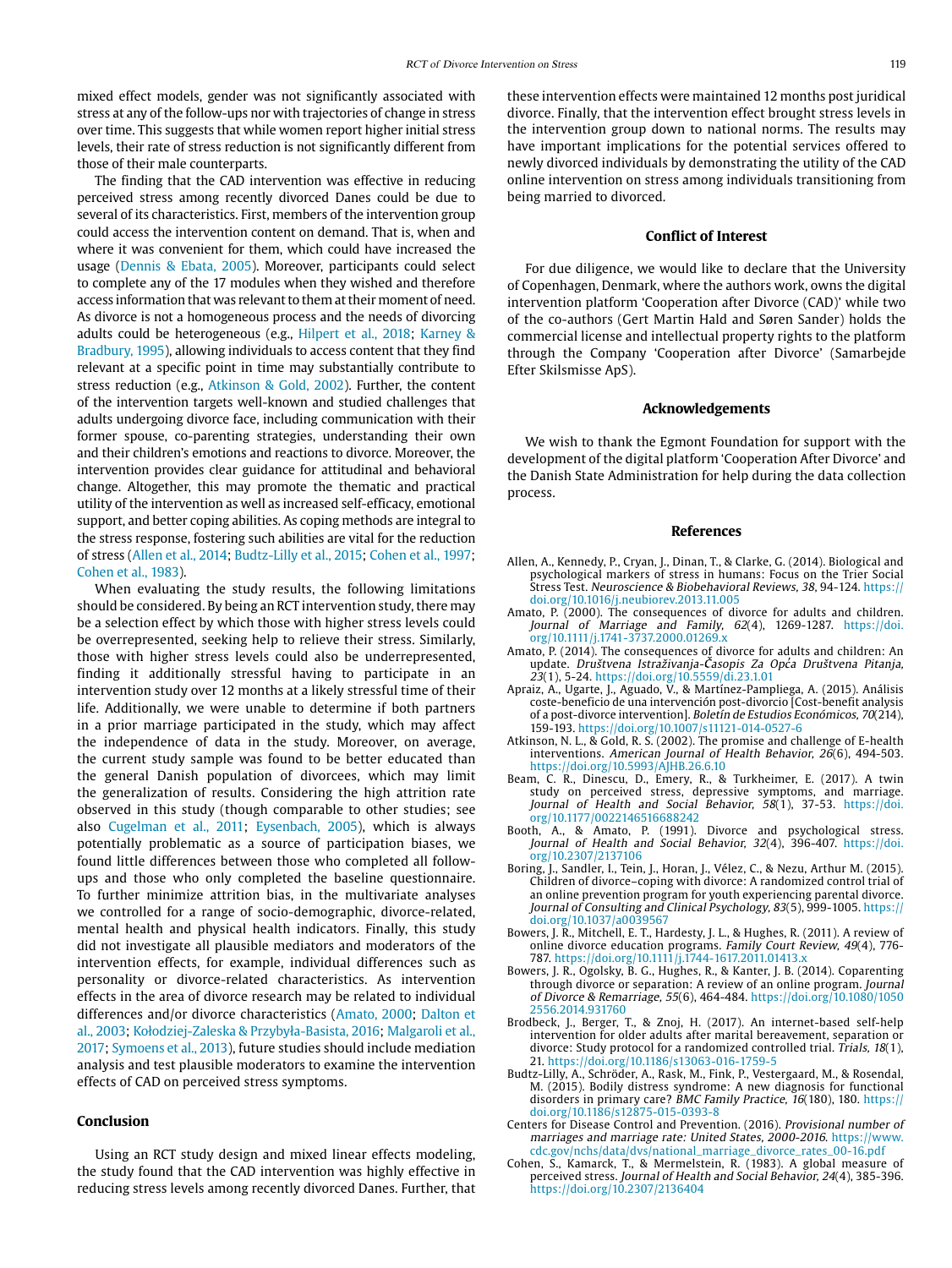mixed effect models, gender was not significantly associated with stress at any of the follow-ups nor with trajectories of change in stress over time. This suggests that while women report higher initial stress levels, their rate of stress reduction is not significantly different from those of their male counterparts.

The finding that the CAD intervention was effective in reducing perceived stress among recently divorced Danes could be due to several of its characteristics. First, members of the intervention group could access the intervention content on demand. That is, when and where it was convenient for them, which could have increased the usage (Dennis & Ebata, 2005). Moreover, participants could select to complete any of the 17 modules when they wished and therefore access information that was relevant to them at their moment of need. As divorce is not a homogeneous process and the needs of divorcing adults could be heterogeneous (e.g., Hilpert et al., 2018; Karney & Bradbury, 1995), allowing individuals to access content that they find relevant at a specific point in time may substantially contribute to stress reduction (e.g., Atkinson & Gold, 2002). Further, the content of the intervention targets well-known and studied challenges that adults undergoing divorce face, including communication with their former spouse, co-parenting strategies, understanding their own and their children's emotions and reactions to divorce. Moreover, the intervention provides clear guidance for attitudinal and behavioral change. Altogether, this may promote the thematic and practical utility of the intervention as well as increased self-efficacy, emotional support, and better coping abilities. As coping methods are integral to the stress response, fostering such abilities are vital for the reduction of stress (Allen et al., 2014; Budtz-Lilly et al., 2015; Cohen et al., 1997; Cohen et al., 1983).

When evaluating the study results, the following limitations should be considered. By being an RCT intervention study, there may be a selection effect by which those with higher stress levels could be overrepresented, seeking help to relieve their stress. Similarly, those with higher stress levels could also be underrepresented, finding it additionally stressful having to participate in an intervention study over 12 months at a likely stressful time of their life. Additionally, we were unable to determine if both partners in a prior marriage participated in the study, which may affect the independence of data in the study. Moreover, on average, the current study sample was found to be better educated than the general Danish population of divorcees, which may limit the generalization of results. Considering the high attrition rate observed in this study (though comparable to other studies; see also Cugelman et al., 2011; Eysenbach, 2005), which is always potentially problematic as a source of participation biases, we found little differences between those who completed all followups and those who only completed the baseline questionnaire. To further minimize attrition bias, in the multivariate analyses we controlled for a range of socio-demographic, divorce-related, mental health and physical health indicators. Finally, this study did not investigate all plausible mediators and moderators of the intervention effects, for example, individual differences such as personality or divorce-related characteristics. As intervention effects in the area of divorce research may be related to individual differences and/or divorce characteristics (Amato, 2000; Dalton et al., 2003; Kołodziej-Zaleska & Przybyła-Basista, 2016; Malgaroli et al., 2017; Symoens et al., 2013), future studies should include mediation analysis and test plausible moderators to examine the intervention effects of CAD on perceived stress symptoms.

# **Conclusion**

Using an RCT study design and mixed linear effects modeling, the study found that the CAD intervention was highly effective in reducing stress levels among recently divorced Danes. Further, that these intervention effects were maintained 12 months post juridical divorce. Finally, that the intervention effect brought stress levels in the intervention group down to national norms. The results may have important implications for the potential services offered to newly divorced individuals by demonstrating the utility of the CAD online intervention on stress among individuals transitioning from being married to divorced.

#### **Conflict of Interest**

For due diligence, we would like to declare that the University of Copenhagen, Denmark, where the authors work, owns the digital intervention platform 'Cooperation after Divorce (CAD)' while two of the co-authors (Gert Martin Hald and Søren Sander) holds the commercial license and intellectual property rights to the platform through the Company 'Cooperation after Divorce' (Samarbejde Efter Skilsmisse ApS).

#### **Acknowledgements**

We wish to thank the Egmont Foundation for support with the development of the digital platform 'Cooperation After Divorce' and the Danish State Administration for help during the data collection process.

#### **References**

- Allen, A., Kennedy, P., Cryan, J., Dinan, T., & Clarke, G. (2014). Biological and psychological markers of stress in humans: Focus on the Trier Social Stress Test. Neuroscience & Biobehavioral Reviews, 38, 94-124. [https://](https://doi.org/10.1016/j.neubiorev.2013.11.005) [doi.org/10.1016/j.neubiorev.2013.11.005](https://doi.org/10.1016/j.neubiorev.2013.11.005)
- Amato, P. (2000). The consequences of divorce for adults and children. Journal of Marriage and Family, 62(4), 1269-1287. [https://doi.](https://doi.org/10.1111/j.1741-3737.2000.01269.x) [org/10.1111/j.1741-3737.2000.01269.x](https://doi.org/10.1111/j.1741-3737.2000.01269.x)
- Amato, P. (2014). The consequences of divorce for adults and children: An update. Društvena Istraživanja-Časopis Za Opća Društvena Pitanja, 23(1), 5-24. <https://doi.org/10.5559/di.23.1.01>
- Apraiz, A., Ugarte, J., Aguado, V., & Martínez-Pampliega, A. (2015). Análisis coste-beneficio de una intervención post-divorcio [Cost-benefit analysis of a post-divorce intervention]. Boletín de Estudios Económicos, 70(214), 159-193. <https://doi.org/10.1007/s11121-014-0527-6>
- Atkinson, N. L., & Gold, R. S. (2002). The promise and challenge of E-health interventions. American Journal of Health Behavior, 26(6), 494-503. <https://doi.org/10.5993/AJHB.26.6.10>
- Beam, C. R., Dinescu, D., Emery, R., & Turkheimer, E. (2017). A twin study on perceived stress, depressive symptoms, and marriage. Journal of Health and Social Behavior, 58(1), 37-53. [https://doi.](https://doi.org/10.1177/0022146516688242) [org/10.1177/0022146516688242](https://doi.org/10.1177/0022146516688242)
- Booth, A., & Amato, P. (1991). Divorce and psychological stress. Journal of Health and Social Behavior, 32(4), 396-407. [https://doi.](https://doi.org/10.2307/2137106) [org/10.2307/2137106](https://doi.org/10.2307/2137106)
- Boring, J., Sandler, I., Tein, J., Horan, J., Vélez, C., & Nezu, Arthur M. (2015). Children of divorce–coping with divorce: A randomized control trial of an online prevention program for youth experiencing parental divorce. Journal of Consulting and Clinical Psychology, 83(5), 999-1005. [https://](https://doi.org/10.1037/a0039567) [doi.org/10.1037/a0039567](https://doi.org/10.1037/a0039567)
- Bowers, J. R., Mitchell, E. T., Hardesty, J. L., & Hughes, R. (2011). A review of online divorce education programs. Family Court Review, 49(4), 776- 787. <https://doi.org/10.1111/j.1744-1617.2011.01413.x>
- Bowers, J. R., Ogolsky, B. G., Hughes, R., & Kanter, J. B. (2014). Coparenting through divorce or separation: A review of an online program. Journal of Divorce & Remarriage, 55(6), 464-484. [https://doi.org/10.1080/1050](https://doi.org/10.1080/10502556.2014.931760) [2556.2014.931760](https://doi.org/10.1080/10502556.2014.931760)
- Brodbeck, J., Berger, T., & Znoj, H. (2017). An internet-based self-help intervention for older adults after marital bereavement, separation or divorce: Study protocol for a randomized controlled trial. Trials, 18(1), 21. <https://doi.org/10.1186/s13063-016-1759-5>
- Budtz-Lilly, A., Schröder, A., Rask, M., Fink, P., Vestergaard, M., & Rosendal, M. (2015). Bodily distress syndrome: A new diagnosis for functional disorders in primary care? BMC Family Practice, 16(180), 180. [https://](https://doi.org/10.1186/s12875-015-0393-8) [doi.org/10.1186/s12875-015-0393-8](https://doi.org/10.1186/s12875-015-0393-8)
- Centers for Disease Control and Prevention. (2016). Provisional number of marriages and marriage rate: United States, 2000-2016. [https://www.](https://www.cdc.gov/nchs/data/dvs/national_marriage_divorce_rates_00-16.pdf) [cdc.gov/nchs/data/dvs/national\\_marriage\\_divorce\\_rates\\_00-16.pdf](https://www.cdc.gov/nchs/data/dvs/national_marriage_divorce_rates_00-16.pdf)
- Cohen, S., Kamarck, T., & Mermelstein, R. (1983). A global measure of perceived stress. Journal of Health and Social Behavior, 24(4), 385-396. <https://doi.org/10.2307/2136404>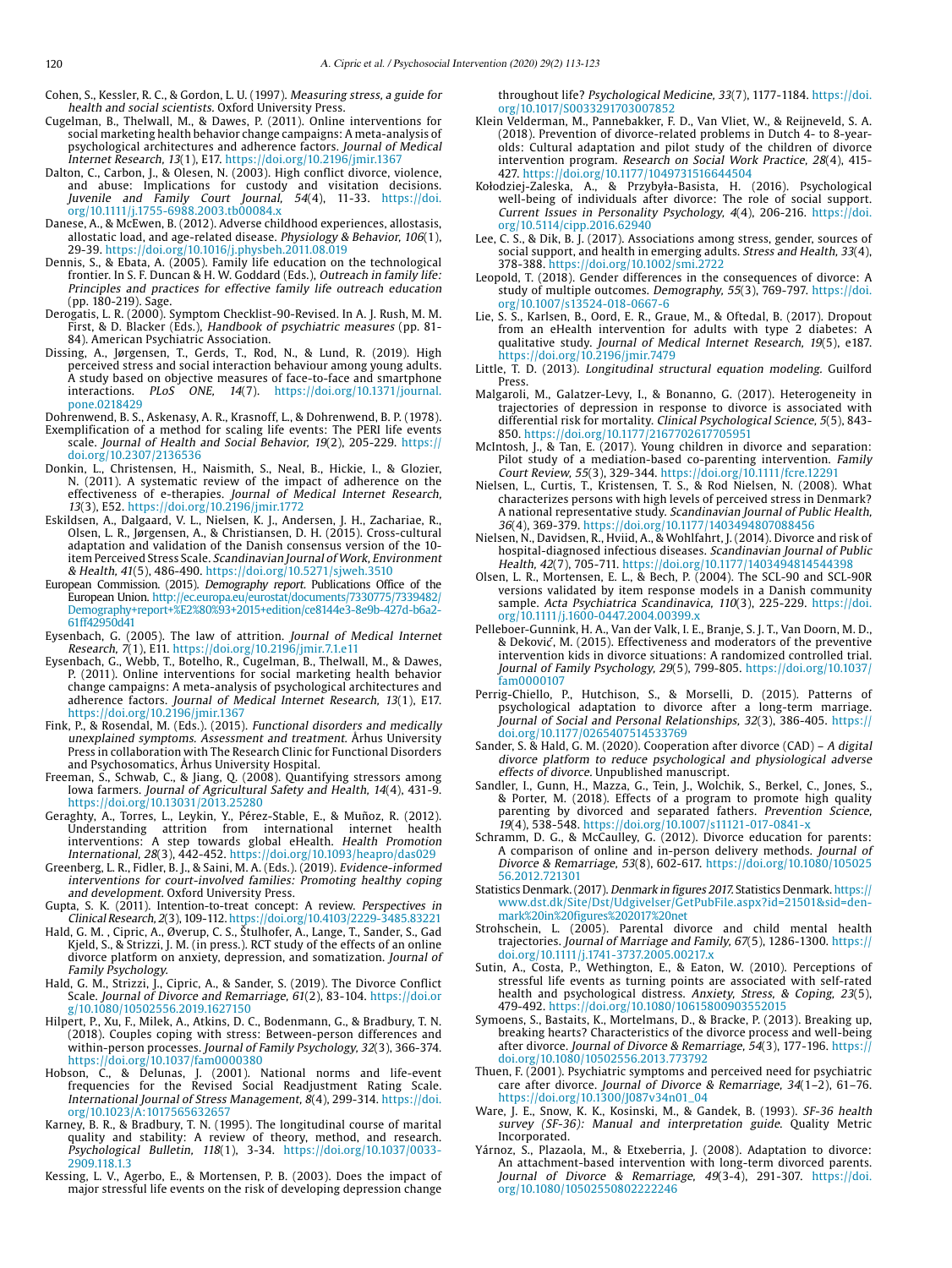Cohen, S., Kessler, R. C., & Gordon, L. U. (1997). Measuring stress, a guide for health and social scientists. Oxford University Press.

- Cugelman, B., Thelwall, M., & Dawes, P. (2011). Online interventions for social marketing health behavior change campaigns: A meta-analysis of psychological architectures and adherence factors. Journal of Medical Internet Research, 13(1), E17. <https://doi.org/10.2196/jmir.1367>
- Dalton, C., Carbon, J., & Olesen, N. (2003). High conflict divorce, violence, and abuse: Implications for custody and visitation decisions. Juvenile and Family Court Journal, 54(4), 11-33. [https://doi.](https://doi.org/10.1111/j.1755-6988.2003.tb00084.x) [org/10.1111/j.1755-6988.2003.tb00084.x](https://doi.org/10.1111/j.1755-6988.2003.tb00084.x)
- Danese, A., & McEwen, B. (2012). Adverse childhood experiences, allostasis, allostatic load, and age-related disease. Physiology & Behavior, 106(1), 29-39. <https://doi.org/10.1016/j.physbeh.2011.08.019>
- Dennis, S., & Ebata, A. (2005). Family life education on the technological frontier. In S. F. Duncan & H. W. Goddard (Eds.), Outreach in family life: Principles and practices for effective family life outreach education (pp. 180-219). Sage.
- Derogatis, L. R. (2000). Symptom Checklist-90-Revised. In A. J. Rush, M. M. First, & D. Blacker (Eds.), Handbook of psychiatric measures (pp. 81- 84). American Psychiatric Association.
- Dissing, A., Jørgensen, T., Gerds, T., Rod, N., & Lund, R. (2019). High perceived stress and social interaction behaviour among young adults. A study based on objective measures of face-to-face and smartphone interactions. PLoS ONE, 14(7). [https://doi.org/10.1371/journal.](https://doi.org/10.1371/journal.pone.0218429) [pone.0218429](https://doi.org/10.1371/journal.pone.0218429)

Dohrenwend, B. S., Askenasy, A. R., Krasnoff, L., & Dohrenwend, B. P. (1978).

- Exemplification of a method for scaling life events: The PERI life events scale. Journal of Health and Social Behavior, 19(2), 205-229. [https://](https://doi.org/10.2307/2136536) [doi.org/10.2307/2136536](https://doi.org/10.2307/2136536)
- Donkin, L., Christensen, H., Naismith, S., Neal, B., Hickie, I., & Glozier, N. (2011). A systematic review of the impact of adherence on the effectiveness of e-therapies. Journal of Medical Internet Research, 13(3), E52. <https://doi.org/10.2196/jmir.1772>
- Eskildsen, A., Dalgaard, V. L., Nielsen, K. J., Andersen, J. H., Zachariae, R. Olsen, L. R., Jørgensen, A., & Christiansen, D. H. (2015). Cross-cultural adaptation and validation of the Danish consensus version of the 10 item Perceived Stress Scale. Scandinavian Journal of Work, Environment & Health, 41(5), 486-490. <https://doi.org/10.5271/sjweh.3510>
- European Commission. (2015). Demography report. Publications Office of the European Union. [http://ec.europa.eu/eurostat/documents/7330775/7339482/](http://ec.europa.eu/eurostat/documents/7330775/7339482/Demography+report+%E2%80%93+2015+edition/ce8144e3-8e9b-427d-b6a2-61ff42950d41) [Demography+report+%E2%80%93+2015+edition/ce8144e3-8e9b-427d-b6a2-](http://ec.europa.eu/eurostat/documents/7330775/7339482/Demography+report+%E2%80%93+2015+edition/ce8144e3-8e9b-427d-b6a2-61ff42950d41) [61ff42950d41](http://ec.europa.eu/eurostat/documents/7330775/7339482/Demography+report+%E2%80%93+2015+edition/ce8144e3-8e9b-427d-b6a2-61ff42950d41)
- Eysenbach, G. (2005). The law of attrition. Journal of Medical Internet Research, 7(1), E11.<https://doi.org/10.2196/jmir.7.1.e11>
- Eysenbach, G., Webb, T., Botelho, R., Cugelman, B., Thelwall, M., & Dawes, P. (2011). Online interventions for social marketing health behavior change campaigns: A meta-analysis of psychological architectures and adherence factors. Journal of Medical Internet Research, 13(1), E17. <https://doi.org/10.2196/jmir.1367>
- Fink, P., & Rosendal, M. (Eds.). (2015). Functional disorders and medically unexplained symptoms. Assessment and treatment. Århus University Press in collaboration with The Research Clinic for Functional Disorders and Psychosomatics, Århus University Hospital.
- Freeman, S., Schwab, C., & Jiang, Q. (2008). Quantifying stressors among Iowa farmers. Journal of Agricultural Safety and Health, 14(4), 431-9. <https://doi.org/10.13031/2013.25280>
- Geraghty, A., Torres, L., Leykin, Y., Pérez-Stable, E., & Muñoz, R. (2012). Understanding attrition from international internet health interventions: A step towards global eHealth. Health Promotion International, 28(3), 442-452. <https://doi.org/10.1093/heapro/das029>
- Greenberg, L. R., Fidler, B. J., & Saini, M. A. (Eds.). (2019). Evidence-informed interventions for court-involved families: Promoting healthy coping and development. Oxford University Press.
- Gupta, S. K. (2011). Intention-to-treat concept: A review. Perspectives in Clinical Research, 2(3), 109-112.<https://doi.org/10.4103/2229-3485.83221>
- Hald, G. M. , Cipric, A., Øverup, C. S., Štulhofer, A., Lange, T., Sander, S., Gad Kjeld, S., & Strizzi, J. M. (in press.). RCT study of the effects of an online divorce platform on anxiety, depression, and somatization. Journal of Family Psychology.
- Hald, G. M., Strizzi, J., Cipric, A., & Sander, S. (2019). The Divorce Conflict Scale. Journal of Divorce and Remarriage, 61(2), 83-104. [https://doi.or](https://doi.org/10.1080/10502556.2019.1627150) [g/10.1080/10502556.2019.1627150](https://doi.org/10.1080/10502556.2019.1627150)
- Hilpert, P., Xu, F., Milek, A., Atkins, D. C., Bodenmann, G., & Bradbury, T. N. (2018). Couples coping with stress: Between-person differences and within-person processes. Journal of Family Psychology, 32(3), 366-374. <https://doi.org/10.1037/fam0000380>
- Hobson, C., & Delunas, J. (2001). National norms and life-event frequencies for the Revised Social Readjustment Rating Scale. International Journal of Stress Management, 8(4), 299-314. [https://doi.](https://doi.org/10.1023/A:1017565632657) [org/10.1023/A:1017565632657](https://doi.org/10.1023/A:1017565632657)
- Karney, B. R., & Bradbury, T. N. (1995). The longitudinal course of marital quality and stability: A review of theory, method, and research. Psychological Bulletin, 118(1), 3-34. https://doi.org/10.1037/0033- 2909.118.1.3
- Kessing, L. V., Agerbo, E., & Mortensen, P. B. (2003). Does the impact of major stressful life events on the risk of developing depression change

throughout life? Psychological Medicine, 33(7), 1177-1184. [https://doi.](https://doi.org/10.1017/S0033291703007852) [org/10.1017/S0033291703007852](https://doi.org/10.1017/S0033291703007852)

- Klein Velderman, M., Pannebakker, F. D., Van Vliet, W., & Reijneveld, S. A. (2018). Prevention of divorce-related problems in Dutch 4- to 8-yearolds: Cultural adaptation and pilot study of the children of divorce intervention program. Research on Social Work Practice, 28(4), 415- 427.<https://doi.org/10.1177/1049731516644504>
- Kołodziej-Zaleska, A., & Przybyła-Basista, H. (2016). Psychological well-being of individuals after divorce: The role of social support. Current Issues in Personality Psychology, 4(4), 206-216. [https://doi.](https://doi.org/10.5114/cipp.2016.62940) [org/10.5114/cipp.2016.62940](https://doi.org/10.5114/cipp.2016.62940)
- Lee, C. S., & Dik, B. J. (2017). Associations among stress, gender, sources of social support, and health in emerging adults. Stress and Health, 33(4), 378-388.<https://doi.org/10.1002/smi.2722>
- Leopold, T. (2018). Gender differences in the consequences of divorce: A study of multiple outcomes. Demography, 55(3), 769-797. [https://doi.](https://doi.org/10.1007/s13524-018-0667-6) [org/10.1007/s13524-018-0667-6](https://doi.org/10.1007/s13524-018-0667-6)
- Lie, S. S., Karlsen, B., Oord, E. R., Graue, M., & Oftedal, B. (2017). Dropout from an eHealth intervention for adults with type 2 diabetes: A qualitative study. Journal of Medical Internet Research, 19(5), e187. <https://doi.org/10.2196/jmir.7479>
- Little, T. D. (2013). Longitudinal structural equation modeling. Guilford Press.
- Malgaroli, M., Galatzer-Levy, I., & Bonanno, G. (2017). Heterogeneity in trajectories of depression in response to divorce is associated with differential risk for mortality. Clinical Psychological Science, 5(5), 843- 850. <https://doi.org/10.1177/2167702617705951>
- McIntosh, J., & Tan, E. (2017). Young children in divorce and separation: Pilot study of a mediation-based co-parenting intervention. Family Court Review, 55(3), 329-344.<https://doi.org/10.1111/fcre.12291>
- Nielsen, L., Curtis, T., Kristensen, T. S., & Rod Nielsen, N. (2008). What characterizes persons with high levels of perceived stress in Denmark? A national representative study. Scandinavian Journal of Public Health, 36(4), 369-379. <https://doi.org/10.1177/1403494807088456>
- Nielsen, N., Davidsen, R., Hviid, A., & Wohlfahrt, J. (2014). Divorce and risk of hospital-diagnosed infectious diseases. Scandinavian Journal of Public Health, 42(7), 705-711. <https://doi.org/10.1177/1403494814544398>
- Olsen, L. R., Mortensen, E. L., & Bech, P. (2004). The SCL-90 and SCL-90R versions validated by item response models in a Danish community sample. Acta Psychiatrica Scandinavica, 110(3), 225-229. [https://doi.](https://doi.org/10.1111/j.1600-0447.2004.00399.x) [org/10.1111/j.1600-0447.2004.00399.x](https://doi.org/10.1111/j.1600-0447.2004.00399.x)
- Pelleboer-Gunnink, H. A., Van der Valk, I. E., Branje, S. J. T., Van Doorn, M. D., & Deković, M. (2015). Effectiveness and moderators of the preventive intervention kids in divorce situations: A randomized controlled trial. Journal of Family Psychology, 29(5), 799-805. [https://doi.org/10.1037/](https://doi.org/10.1037/fam0000107) [fam0000107](https://doi.org/10.1037/fam0000107)
- Perrig-Chiello, P., Hutchison, S., & Morselli, D. (2015). Patterns of psychological adaptation to divorce after a long-term marriage. Journal of Social and Personal Relationships, 32(3), 386-405. [https://](https://doi.org/10.1177/0265407514533769) [doi.org/10.1177/0265407514533769](https://doi.org/10.1177/0265407514533769)
- Sander, S. & Hald, G. M. (2020). Cooperation after divorce (CAD) A digital divorce platform to reduce psychological and physiological adverse effects of divorce. Unpublished manuscript.
- Sandler, I., Gunn, H., Mazza, G., Tein, J., Wolchik, S., Berkel, C., Jones, S., & Porter, M. (2018). Effects of a program to promote high quality parenting by divorced and separated fathers. Prevention Science, 19(4), 538-548. <https://doi.org/10.1007/s11121-017-0841-x>
- Schramm, D. G., & McCaulley, G. (2012). Divorce education for parents: A comparison of online and in-person delivery methods. Journal of Divorce & Remarriage, 53(8), 602-617. [https://doi.org/10.1080/105025](https://doi.org/10.1080/10502556.2012.721301) [56.2012.721301](https://doi.org/10.1080/10502556.2012.721301)
- Statistics Denmark. (2017). Denmark in figures 2017. Statistics Denmark. [https://](https://www.dst.dk/Site/Dst/Udgivelser/GetPubFile.aspx?id=21501&sid=denmark in figures 2017 net) [www.dst.dk/Site/Dst/Udgivelser/GetPubFile.aspx?id=21501&sid=den](https://www.dst.dk/Site/Dst/Udgivelser/GetPubFile.aspx?id=21501&sid=denmark in figures 2017 net)[mark%20in%20figures%202017%20net](https://www.dst.dk/Site/Dst/Udgivelser/GetPubFile.aspx?id=21501&sid=denmark in figures 2017 net)
- Strohschein, L. (2005). Parental divorce and child mental health trajectories. Journal of Marriage and Family, 67(5), 1286-1300. [https://](https://doi.org/10.1111/j.1741-3737.2005.00217.x) [doi.org/10.1111/j.1741-3737.2005.00217.x](https://doi.org/10.1111/j.1741-3737.2005.00217.x)
- Sutin, A., Costa, P., Wethington, E., & Eaton, W. (2010). Perceptions of stressful life events as turning points are associated with self-rated health and psychological distress. Anxiety, Stress, & Coping, 23(5), 479-492.<https://doi.org/10.1080/10615800903552015>
- Symoens, S., Bastaits, K., Mortelmans, D., & Bracke, P. (2013). Breaking up, breaking hearts? Characteristics of the divorce process and well-being after divorce. Journal of Divorce & Remarriage, 54(3), 177-196. [https://](https://doi.org/10.1080/10502556.2013.773792) [doi.org/10.1080/10502556.2013.773792](https://doi.org/10.1080/10502556.2013.773792)
- Thuen, F. (2001). Psychiatric symptoms and perceived need for psychiatric care after divorce. Journal of Divorce & Remarriage, 34(1–2), 61–76. [https://doi.org/10.1300/J087v34n01\\_04](https://doi.org/10.1300/J087v34n01_04)
- Ware, J. E., Snow, K. K., Kosinski, M., & Gandek, B. (1993). SF-36 health survey (SF-36): Manual and interpretation guide. Quality Metric Incorporated.
- Yárnoz, S., Plazaola, M., & Etxeberria, J. (2008). Adaptation to divorce: An attachment-based intervention with long-term divorced parents. Journal of Divorce & Remarriage, 49(3-4), 291-307. [https://doi.](https://doi.org/10.1080/10502550802222246) [org/10.1080/10502550802222246](https://doi.org/10.1080/10502550802222246)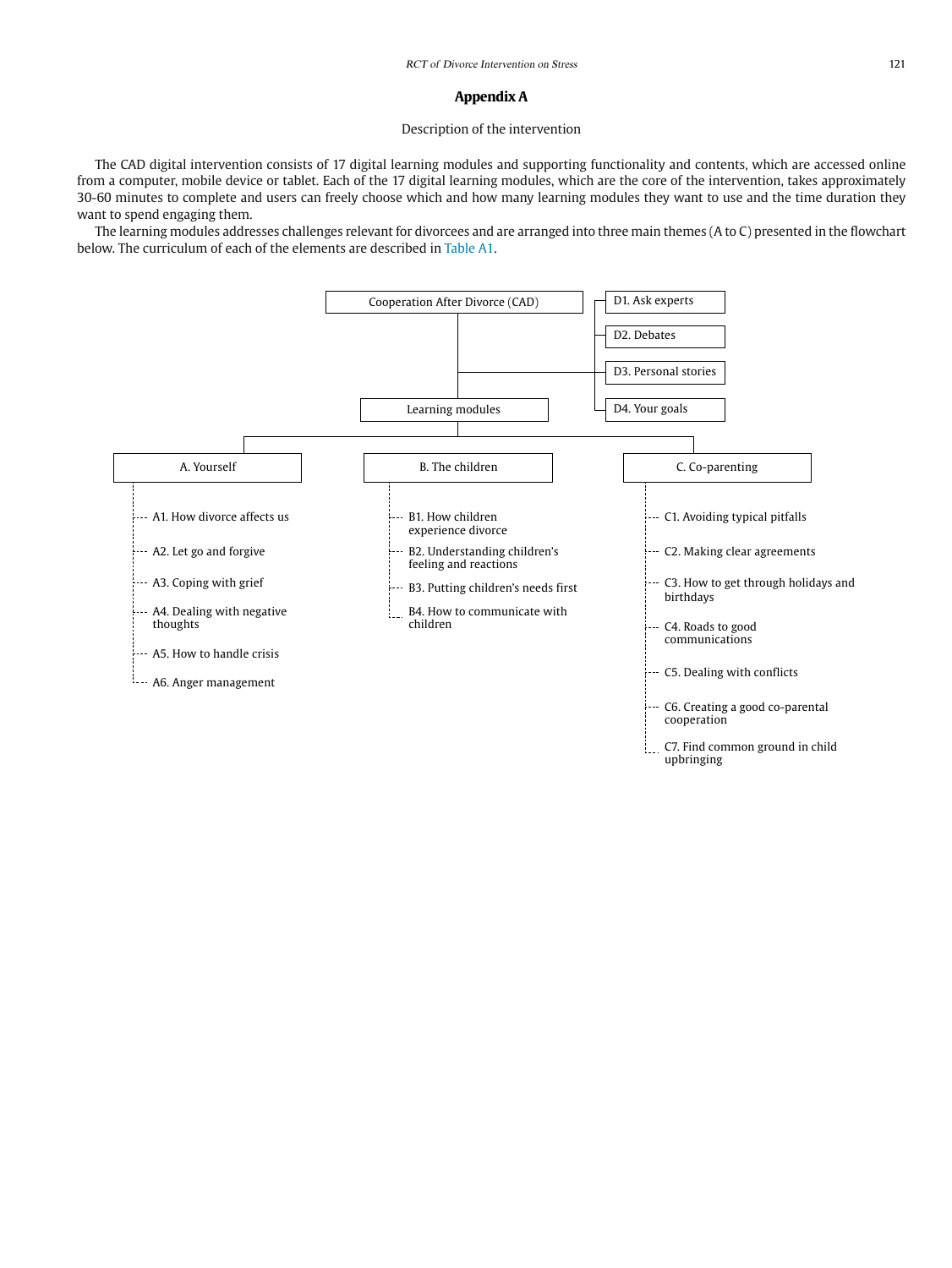#### **Appendix A**

# Description of the intervention

The CAD digital intervention consists of 17 digital learning modules and supporting functionality and contents, which are accessed online from a computer, mobile device or tablet. Each of the 17 digital learning modules, which are the core of the intervention, takes approximately 30-60 minutes to complete and users can freely choose which and how many learning modules they want to use and the time duration they want to spend engaging them.

The learning modules addresses challenges relevant for divorcees and are arranged into three main themes (A to C) presented in the flowchart below. The curriculum of each of the elements are described in Table A1.

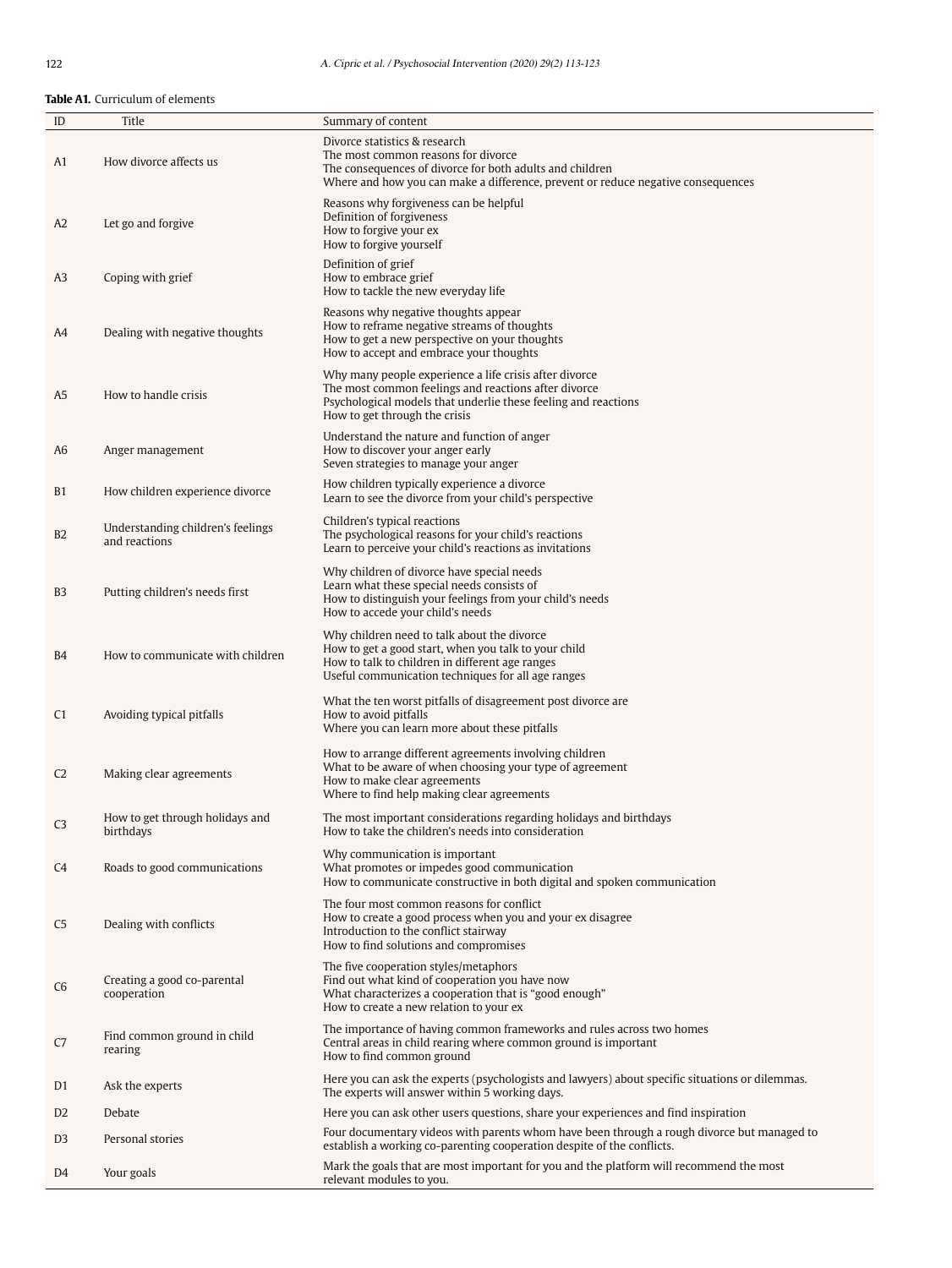**Table A1.** Curriculum of elements

| ID             | Title                                              | Summary of content                                                                                                                                                                                                   |
|----------------|----------------------------------------------------|----------------------------------------------------------------------------------------------------------------------------------------------------------------------------------------------------------------------|
| A1             | How divorce affects us                             | Divorce statistics & research<br>The most common reasons for divorce<br>The consequences of divorce for both adults and children<br>Where and how you can make a difference, prevent or reduce negative consequences |
| A2             | Let go and forgive                                 | Reasons why forgiveness can be helpful<br>Definition of forgiveness<br>How to forgive your ex<br>How to forgive yourself                                                                                             |
| A3             | Coping with grief                                  | Definition of grief<br>How to embrace grief<br>How to tackle the new everyday life                                                                                                                                   |
| A4             | Dealing with negative thoughts                     | Reasons why negative thoughts appear<br>How to reframe negative streams of thoughts<br>How to get a new perspective on your thoughts<br>How to accept and embrace your thoughts                                      |
| A <sub>5</sub> | How to handle crisis                               | Why many people experience a life crisis after divorce<br>The most common feelings and reactions after divorce<br>Psychological models that underlie these feeling and reactions<br>How to get through the crisis    |
| A6             | Anger management                                   | Understand the nature and function of anger<br>How to discover your anger early<br>Seven strategies to manage your anger                                                                                             |
| <b>B1</b>      | How children experience divorce                    | How children typically experience a divorce<br>Learn to see the divorce from your child's perspective                                                                                                                |
| B <sub>2</sub> | Understanding children's feelings<br>and reactions | Children's typical reactions<br>The psychological reasons for your child's reactions<br>Learn to perceive your child's reactions as invitations                                                                      |
| B <sub>3</sub> | Putting children's needs first                     | Why children of divorce have special needs<br>Learn what these special needs consists of<br>How to distinguish your feelings from your child's needs<br>How to accede your child's needs                             |
| B4             | How to communicate with children                   | Why children need to talk about the divorce<br>How to get a good start, when you talk to your child<br>How to talk to children in different age ranges<br>Useful communication techniques for all age ranges         |
| C <sub>1</sub> | Avoiding typical pitfalls                          | What the ten worst pitfalls of disagreement post divorce are<br>How to avoid pitfalls<br>Where you can learn more about these pitfalls                                                                               |
| C <sub>2</sub> | Making clear agreements                            | How to arrange different agreements involving children<br>What to be aware of when choosing your type of agreement<br>How to make clear agreements<br>Where to find help making clear agreements                     |
| C <sub>3</sub> | How to get through holidays and<br>birthdays       | The most important considerations regarding holidays and birthdays<br>How to take the children's needs into consideration                                                                                            |
| C <sub>4</sub> | Roads to good communications                       | Why communication is important<br>What promotes or impedes good communication<br>How to communicate constructive in both digital and spoken communication                                                            |
| C <sub>5</sub> | Dealing with conflicts                             | The four most common reasons for conflict<br>How to create a good process when you and your ex disagree<br>Introduction to the conflict stairway<br>How to find solutions and compromises                            |
| C <sub>6</sub> | Creating a good co-parental<br>cooperation         | The five cooperation styles/metaphors<br>Find out what kind of cooperation you have now<br>What characterizes a cooperation that is "good enough"<br>How to create a new relation to your ex                         |
| C7             | Find common ground in child<br>rearing             | The importance of having common frameworks and rules across two homes<br>Central areas in child rearing where common ground is important<br>How to find common ground                                                |
| D <sub>1</sub> | Ask the experts                                    | Here you can ask the experts (psychologists and lawyers) about specific situations or dilemmas.<br>The experts will answer within 5 working days.                                                                    |
| D <sub>2</sub> | Debate                                             | Here you can ask other users questions, share your experiences and find inspiration                                                                                                                                  |
| D <sub>3</sub> | Personal stories                                   | Four documentary videos with parents whom have been through a rough divorce but managed to<br>establish a working co-parenting cooperation despite of the conflicts.                                                 |
| D4             | Your goals                                         | Mark the goals that are most important for you and the platform will recommend the most<br>relevant modules to you.                                                                                                  |